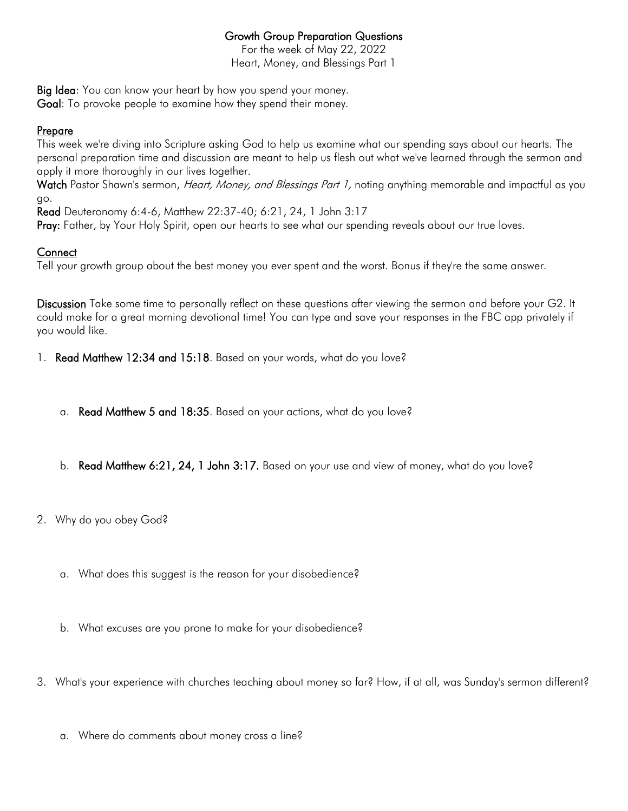## Growth Group Preparation Questions

For the week of May 22, 2022 Heart, Money, and Blessings Part 1

Big Idea: You can know your heart by how you spend your money.

Goal: To provoke people to examine how they spend their money.

## Prepare

This week we're diving into Scripture asking God to help us examine what our spending says about our hearts. The personal preparation time and discussion are meant to help us flesh out what we've learned through the sermon and apply it more thoroughly in our lives together.

Watch Pastor Shawn's sermon, *Heart, Money, and Blessings Part 1*, noting anything memorable and impactful as you go.

Read Deuteronomy 6:4-6, Matthew 22:37-40; 6:21, 24, 1 John 3:17

Pray: Father, by Your Holy Spirit, open our hearts to see what our spending reveals about our true loves.

## **Connect**

Tell your growth group about the best money you ever spent and the worst. Bonus if they're the same answer.

Discussion Take some time to personally reflect on these questions after viewing the sermon and before your G2. It could make for a great morning devotional time! You can type and save your responses in the FBC app privately if you would like.

1. Read Matthew 12:34 and 15:18. Based on your words, what do you love?

- a. Read Matthew 5 and 18:35. Based on your actions, what do you love?
- b. Read Matthew 6:21, 24, 1 John 3:17. Based on your use and view of money, what do you love?
- 2. Why do you obey God?
	- a. What does this suggest is the reason for your disobedience?
	- b. What excuses are you prone to make for your disobedience?
- 3. What's your experience with churches teaching about money so far? How, if at all, was Sunday's sermon different?
	- a. Where do comments about money cross a line?